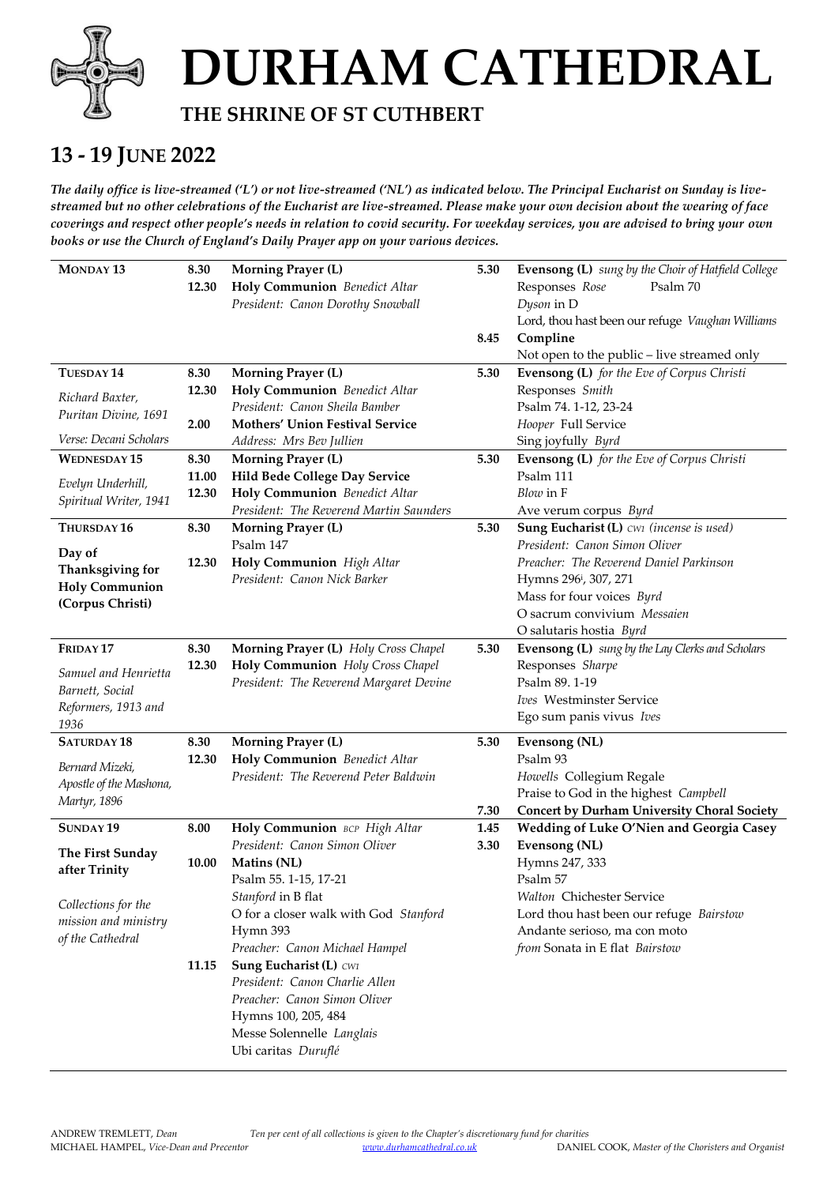

# **DURHAM CATHEDRAL**

#### **THE SHRINE OF ST CUTHBERT**

#### **13 - 19 JUNE 2022**

*The daily office is live-streamed ('L') or not live-streamed ('NL') as indicated below. The Principal Eucharist on Sunday is livestreamed but no other celebrations of the Eucharist are live-streamed. Please make your own decision about the wearing of face coverings and respect other people's needs in relation to covid security. For weekday services, you are advised to bring your own books or use the Church of England's Daily Prayer app on your various devices.* 

| <b>MONDAY 13</b>                                                                               | 8.30<br>12.30          | <b>Morning Prayer (L)</b><br>Holy Communion Benedict Altar<br>President: Canon Dorothy Snowball                                                                                                                                                                                  | 5.30<br>8.45 | Evensong (L) sung by the Choir of Hatfield College<br>Responses Rose<br>Psalm 70<br>Dyson in D<br>Lord, thou hast been our refuge Vaughan Williams<br>Compline                                       |
|------------------------------------------------------------------------------------------------|------------------------|----------------------------------------------------------------------------------------------------------------------------------------------------------------------------------------------------------------------------------------------------------------------------------|--------------|------------------------------------------------------------------------------------------------------------------------------------------------------------------------------------------------------|
| TUESDAY <sub>14</sub>                                                                          | 8.30                   | <b>Morning Prayer (L)</b>                                                                                                                                                                                                                                                        | 5.30         | Not open to the public - live streamed only<br>Evensong (L) for the Eve of Corpus Christi                                                                                                            |
| Richard Baxter,<br>Puritan Divine, 1691                                                        | 12.30<br>2.00          | Holy Communion Benedict Altar<br>President: Canon Sheila Bamber<br><b>Mothers' Union Festival Service</b>                                                                                                                                                                        |              | Responses Smith<br>Psalm 74. 1-12, 23-24<br>Hooper Full Service                                                                                                                                      |
| Verse: Decani Scholars                                                                         |                        | Address: Mrs Bev Jullien                                                                                                                                                                                                                                                         |              | Sing joyfully Byrd                                                                                                                                                                                   |
| <b>WEDNESDAY 15</b><br>Evelyn Underhill,<br>Spiritual Writer, 1941                             | 8.30<br>11.00<br>12.30 | <b>Morning Prayer (L)</b><br>Hild Bede College Day Service<br>Holy Communion Benedict Altar<br>President: The Reverend Martin Saunders                                                                                                                                           | 5.30         | Evensong (L) for the Eve of Corpus Christi<br>Psalm 111<br>Blow in F<br>Ave verum corpus Byrd                                                                                                        |
| THURSDAY 16                                                                                    | 8.30                   | <b>Morning Prayer (L)</b>                                                                                                                                                                                                                                                        | 5.30         | Sung Eucharist (L) CW1 (incense is used)                                                                                                                                                             |
| Day of<br>Thanksgiving for<br><b>Holy Communion</b><br>(Corpus Christi)                        | 12.30                  | Psalm 147<br>Holy Communion High Altar<br>President: Canon Nick Barker                                                                                                                                                                                                           |              | President: Canon Simon Oliver<br>Preacher: The Reverend Daniel Parkinson<br>Hymns 296 <sup>i</sup> , 307, 271<br>Mass for four voices Byrd<br>O sacrum convivium Messaien<br>O salutaris hostia Byrd |
| FRIDAY <sub>17</sub><br>Samuel and Henrietta<br>Barnett, Social<br>Reformers, 1913 and<br>1936 | 8.30<br>12.30          | Morning Prayer (L) Holy Cross Chapel<br>Holy Communion Holy Cross Chapel<br>President: The Reverend Margaret Devine                                                                                                                                                              | 5.30         | Evensong (L) sung by the Lay Clerks and Scholars<br>Responses Sharpe<br>Psalm 89.1-19<br>Ives Westminster Service<br>Ego sum panis vivus Ives                                                        |
| <b>SATURDAY 18</b><br>Bernard Mizeki,<br>Apostle of the Mashona,<br>Martyr, 1896               | 8.30<br>12.30          | <b>Morning Prayer (L)</b><br>Holy Communion Benedict Altar<br>President: The Reverend Peter Baldwin                                                                                                                                                                              | 5.30<br>7.30 | <b>Evensong (NL)</b><br>Psalm 93<br>Howells Collegium Regale<br>Praise to God in the highest Campbell<br><b>Concert by Durham University Choral Society</b>                                          |
| SUNDAY <sub>19</sub>                                                                           | 8.00                   | Holy Communion BCP High Altar                                                                                                                                                                                                                                                    | 1.45         | Wedding of Luke O'Nien and Georgia Casey                                                                                                                                                             |
| The First Sunday<br>after Trinity                                                              | 10.00                  | President: Canon Simon Oliver<br>Matins (NL)<br>Psalm 55. 1-15, 17-21                                                                                                                                                                                                            | 3.30         | <b>Evensong (NL)</b><br>Hymns 247, 333<br>Psalm 57                                                                                                                                                   |
| Collections for the<br>mission and ministry<br>of the Cathedral                                | 11.15                  | Stanford in B flat<br>O for a closer walk with God Stanford<br>Hymn 393<br>Preacher: Canon Michael Hampel<br>Sung Eucharist (L) CW1<br>President: Canon Charlie Allen<br>Preacher: Canon Simon Oliver<br>Hymns 100, 205, 484<br>Messe Solennelle Langlais<br>Ubi caritas Duruflé |              | Walton Chichester Service<br>Lord thou hast been our refuge Bairstow<br>Andante serioso, ma con moto<br>from Sonata in E flat Bairstow                                                               |